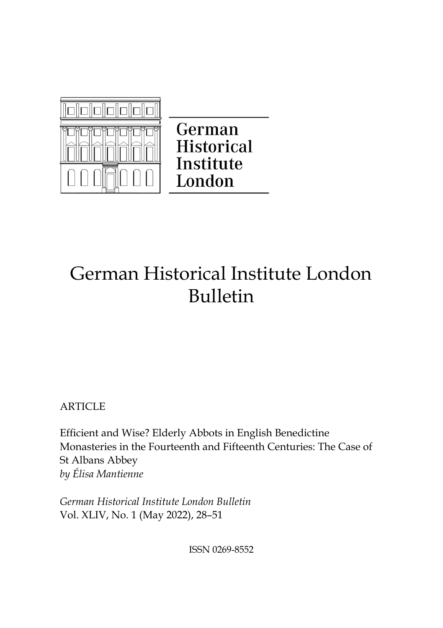

German **Historical** Institute London

# German Historical Institute London Bulletin

**ARTICLE** 

Efficient and Wise? Elderly Abbots in English Benedictine Monasteries in the Fourteenth and Fifteenth Centuries: The Case of St Albans Abbey *by Élisa Mantienne*

*German Historical Institute London Bulletin*  Vol. XLIV, No. 1 (May 2022), 28–51

ISSN 0269-8552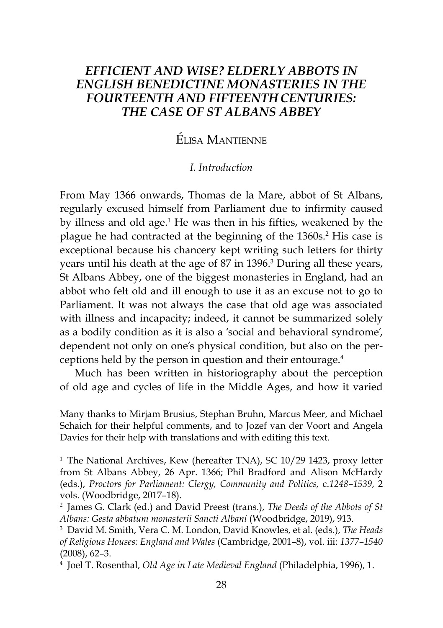# *EFFICIENT AND WISE? ELDERLY ABBOTS IN ENGLISH BENEDICTINE MONASTERIES IN THE FOURTEENTH AND FIFTEENTHCENTURIES: THE CASE OF ST ALBANS ABBEY*

# Élisa Mantienne

## *I. Introduction*

From May 1366 onwards, Thomas de la Mare, abbot of St Albans, regularly excused himself from Parliament due to infirmity caused by illness and old age.1 He was then in his fifties, weakened by the plague he had contracted at the beginning of the 1360s.<sup>2</sup> His case is exceptional because his chancery kept writing such letters for thirty years until his death at the age of 87 in 1396.<sup>3</sup> During all these years, St Albans Abbey, one of the biggest monasteries in England, had an abbot who felt old and ill enough to use it as an excuse not to go to Parliament. It was not always the case that old age was associated with illness and incapacity; indeed, it cannot be summarized solely as a bodily condition as it is also a 'social and behavioral syndrome', dependent not only on one's physical condition, but also on the perceptions held by the person in question and their entourage.4

Much has been written in historiography about the perception of old age and cycles of life in the Middle Ages, and how it varied

Many thanks to Mirjam Brusius, Stephan Bruhn, Marcus Meer, and Michael Schaich for their helpful comments, and to Jozef van der Voort and Angela Davies for their help with translations and with editing this text.

<sup>1</sup> The National Archives, Kew (hereafter TNA), SC 10/29 1423, proxy letter from St Albans Abbey, 26 Apr. 1366; Phil Bradford and Alison McHardy (eds.), *Proctors for Parliament: Clergy, Community and Politics,* c.*1248–1539*, 2 vols. (Woodbridge, 2017–18).

<sup>2</sup> James G. Clark (ed.) and David Preest (trans.), *The Deeds of the Abbots of St Albans: Gesta abbatum monasterii Sancti Albani* (Woodbridge, 2019), 913. 3 David M. Smith, Vera C. M. London, David Knowles, et al. (eds.), *The Heads* 

*of Religious Houses: England and Wales* (Cambridge, 2001–8), vol. iii: *1377–1540* (2008), 62–3.

<sup>4</sup> Joel T. Rosenthal, *Old Age in Late Medieval England* (Philadelphia, 1996), 1.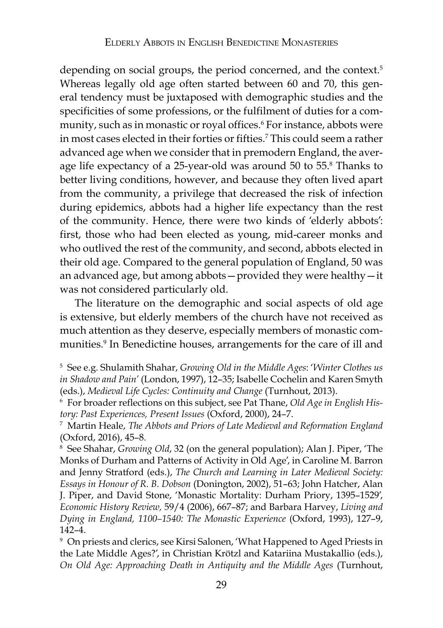depending on social groups, the period concerned, and the context.<sup>5</sup> Whereas legally old age often started between 60 and 70, this general tendency must be juxtaposed with demographic studies and the specificities of some professions, or the fulfilment of duties for a community, such as in monastic or royal offices.6 For instance, abbots were in most cases elected in their forties or fifties.7 This could seem a rather advanced age when we consider that in premodern England, the average life expectancy of a 25-year-old was around 50 to 55.8 Thanks to better living conditions, however, and because they often lived apart from the community, a privilege that decreased the risk of infection during epidemics, abbots had a higher life expectancy than the rest of the community. Hence, there were two kinds of 'elderly abbots': first, those who had been elected as young, mid-career monks and who outlived the rest of the community, and second, abbots elected in their old age. Compared to the general population of England, 50 was an advanced age, but among abbots—provided they were healthy—it was not considered particularly old.

The literature on the demographic and social aspects of old age is extensive, but elderly members of the church have not received as much attention as they deserve, especially members of monastic communities.9 In Benedictine houses, arrangements for the care of ill and

<sup>8</sup> See Shahar, *Growing Old*, 32 (on the general population); Alan J. Piper, 'The Monks of Durham and Patterns of Activity in Old Age', in Caroline M. Barron and Jenny Stratford (eds.), *The Church and Learning in Later Medieval Society: Essays in Honour of R. B. Dobson* (Donington, 2002), 51–63; John Hatcher, Alan J. Piper, and David Stone, 'Monastic Mortality: Durham Priory, 1395–1529', *Economic History Review,* 59/4 (2006), 667–87; and Barbara Harvey, *Living and Dying in England, 1100–1540: The Monastic Experience* (Oxford, 1993), 127–9, 142–4.

<sup>9</sup> On priests and clerics, see Kirsi Salonen, 'What Happened to Aged Priests in the Late Middle Ages?', in Christian Krötzl and Katariina Mustakallio (eds.), *On Old Age: Approaching Death in Antiquity and the Middle Ages* (Turnhout,

<sup>5</sup> See e.g. Shulamith Shahar, *Growing Old in the Middle Ages*: '*Winter Clothes us in Shadow and Pain'* (London, 1997), 12–35; Isabelle Cochelin and Karen Smyth (eds.), *Medieval Life Cycles: Continuity and Change* (Turnhout, 2013). 6 For broader reflections on this subject, see Pat Thane, *Old Age in English His-*

*tory: Past Experiences, Present Issues* (Oxford, 2000), 24–7.<br><sup>7</sup> Martin Heale, *The Abbots and Priors of Late Medieval and Reformation England* 

<sup>(</sup>Oxford, 2016), 45–8.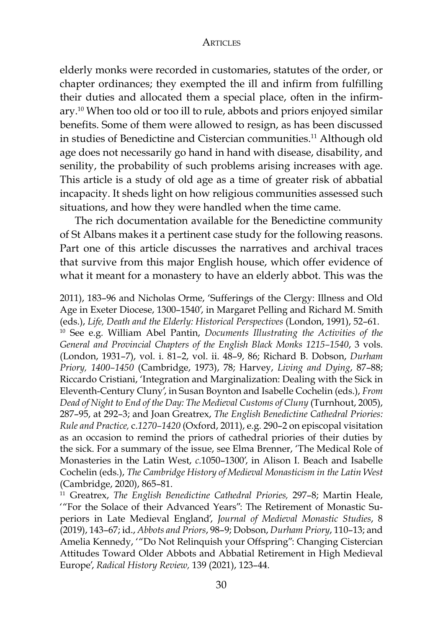elderly monks were recorded in customaries, statutes of the order, or chapter ordinances; they exempted the ill and infirm from fulfilling their duties and allocated them a special place, often in the infirmary.10 When too old or too ill to rule, abbots and priors enjoyed similar benefits. Some of them were allowed to resign, as has been discussed in studies of Benedictine and Cistercian communities.<sup>11</sup> Although old age does not necessarily go hand in hand with disease, disability, and senility, the probability of such problems arising increases with age. This article is a study of old age as a time of greater risk of abbatial incapacity. It sheds light on how religious communities assessed such situations, and how they were handled when the time came.

The rich documentation available for the Benedictine community of St Albans makes it a pertinent case study for the following reasons. Part one of this article discusses the narratives and archival traces that survive from this major English house, which offer evidence of what it meant for a monastery to have an elderly abbot. This was the

2011), 183–96 and Nicholas Orme, 'Sufferings of the Clergy: Illness and Old Age in Exeter Diocese, 1300–1540', in Margaret Pelling and Richard M. Smith (eds.), *Life, Death and the Elderly: Historical Perspectives* (London, 1991), 52–61. <sup>10</sup> See e.g. William Abel Pantin, *Documents Illustrating the Activities of the General and Provincial Chapters of the English Black Monks 1215–1540*, 3 vols. (London, 1931–7), vol. i. 81–2, vol. ii. 48–9, 86; Richard B. Dobson, *Durham Priory, 1400–1450* (Cambridge, 1973), 78; Harvey, *Living and Dying*, 87–88; Riccardo Cristiani, 'Integration and Marginalization: Dealing with the Sick in Eleventh-Century Cluny', in Susan Boynton and Isabelle Cochelin (eds.), *From Dead of Night to End of the Day: The Medieval Customs of Cluny* (Turnhout, 2005), 287–95, at 292–3; and Joan Greatrex, *The English Benedictine Cathedral Priories: Rule and Practice,* c.*1270–1420* (Oxford, 2011), e.g. 290–2 on episcopal visitation as an occasion to remind the priors of cathedral priories of their duties by the sick. For a summary of the issue, see Elma Brenner, 'The Medical Role of Monasteries in the Latin West, *c.*1050–1300', in Alison I. Beach and Isabelle Cochelin (eds.), *The Cambridge History of Medieval Monasticism in the Latin West*  (Cambridge, 2020), 865–81.<br><sup>11</sup> Greatrex, *The English Benedictine Cathedral Priories,* 297–8; Martin Heale,

'"For the Solace of their Advanced Years": The Retirement of Monastic Superiors in Late Medieval England', *Journal of Medieval Monastic Studies*, 8 (2019), 143–67; id., *Abbots and Priors*, 98–9; Dobson, *Durham Priory*, 110–13; and Amelia Kennedy, '"Do Not Relinquish your Offspring": Changing Cistercian Attitudes Toward Older Abbots and Abbatial Retirement in High Medieval Europe', *Radical History Review,* 139 (2021), 123–44.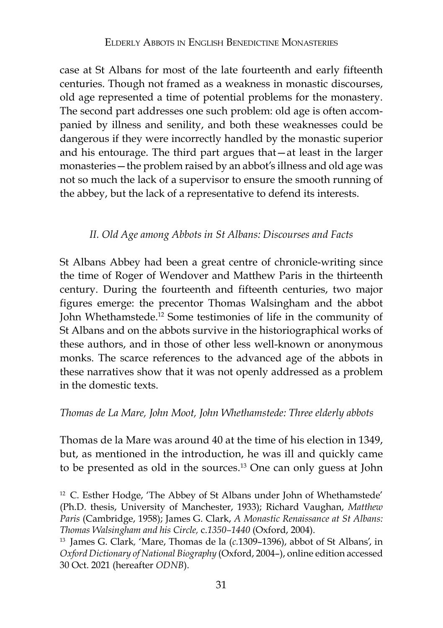case at St Albans for most of the late fourteenth and early fifteenth centuries. Though not framed as a weakness in monastic discourses, old age represented a time of potential problems for the monastery. The second part addresses one such problem: old age is often accompanied by illness and senility, and both these weaknesses could be dangerous if they were incorrectly handled by the monastic superior and his entourage. The third part argues that—at least in the larger monasteries—the problem raised by an abbot's illness and old age was not so much the lack of a supervisor to ensure the smooth running of the abbey, but the lack of a representative to defend its interests.

# *II. Old Age among Abbots in St Albans: Discourses and Facts*

St Albans Abbey had been a great centre of chronicle-writing since the time of Roger of Wendover and Matthew Paris in the thirteenth century. During the fourteenth and fifteenth centuries, two major figures emerge: the precentor Thomas Walsingham and the abbot John Whethamstede.12 Some testimonies of life in the community of St Albans and on the abbots survive in the historiographical works of these authors, and in those of other less well-known or anonymous monks. The scarce references to the advanced age of the abbots in these narratives show that it was not openly addressed as a problem in the domestic texts.

# *Thomas de La Mare, John Moot, John Whethamstede: Three elderly abbots*

Thomas de la Mare was around 40 at the time of his election in 1349, but, as mentioned in the introduction, he was ill and quickly came to be presented as old in the sources.13 One can only guess at John

<sup>12</sup> C. Esther Hodge, 'The Abbey of St Albans under John of Whethamstede' (Ph.D. thesis, University of Manchester, 1933); Richard Vaughan, *Matthew Paris* (Cambridge, 1958); James G. Clark, *A Monastic Renaissance at St Albans: Thomas Walsingham and his Circle,* c.*1350–1440* (Oxford, 2004). 13 James G. Clark*,* 'Mare, Thomas de la (*c.*1309–1396), abbot of St Albans', in

*Oxford Dictionary of National Biography* (Oxford, 2004–), online edition accessed 30 Oct. 2021 (hereafter *ODNB*).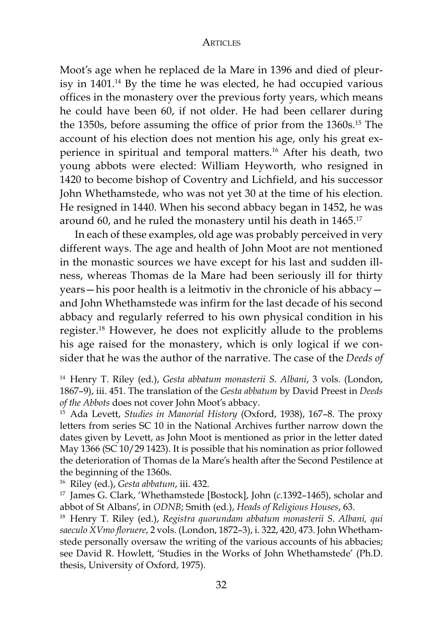Moot's age when he replaced de la Mare in 1396 and died of pleurisy in 1401.14 By the time he was elected, he had occupied various offices in the monastery over the previous forty years, which means he could have been 60, if not older. He had been cellarer during the 1350s, before assuming the office of prior from the 1360s.15 The account of his election does not mention his age, only his great experience in spiritual and temporal matters.16 After his death, two young abbots were elected: William Heyworth, who resigned in 1420 to become bishop of Coventry and Lichfield, and his successor John Whethamstede, who was not yet 30 at the time of his election. He resigned in 1440. When his second abbacy began in 1452, he was around 60, and he ruled the monastery until his death in 1465.<sup>17</sup>

In each of these examples, old age was probably perceived in very different ways. The age and health of John Moot are not mentioned in the monastic sources we have except for his last and sudden illness, whereas Thomas de la Mare had been seriously ill for thirty years—his poor health is a leitmotiv in the chronicle of his abbacy and John Whethamstede was infirm for the last decade of his second abbacy and regularly referred to his own physical condition in his register.18 However, he does not explicitly allude to the problems his age raised for the monastery, which is only logical if we consider that he was the author of the narrative. The case of the *Deeds of* 

<sup>14</sup> Henry T. Riley (ed.), *Gesta abbatum monasterii S. Albani*, 3 vols. (London, 1867–9), iii. 451. The translation of the *Gesta abbatum* by David Preest in *Deeds of the Abbots* does not cover John Moot's abbacy. 15 Ada Levett, *Studies in Manorial History* (Oxford, 1938), 167–8. The proxy

letters from series SC 10 in the National Archives further narrow down the dates given by Levett, as John Moot is mentioned as prior in the letter dated May 1366 (SC 10/29 1423). It is possible that his nomination as prior followed the deterioration of Thomas de la Mare's health after the Second Pestilence at the beginning of the 1360s.

<sup>16</sup> Riley (ed.)*, Gesta abbatum,* iii. 432.<br><sup>17</sup> James G. Clark, 'Whethamstede [Bostock], John (*c*.1392–1465), scholar and

abbot of St Albans', in *ODNB*; Smith (ed.), *Heads of Religious Houses*, 63. 18 Henry T. Riley (ed.), *Registra quorundam abbatum monasterii S. Albani, qui saeculo XVmo floruere*, 2 vols. (London, 1872–3), i. 322, 420, 473. John Whethamstede personally oversaw the writing of the various accounts of his abbacies; see David R. Howlett, 'Studies in the Works of John Whethamstede' (Ph.D. thesis, University of Oxford, 1975).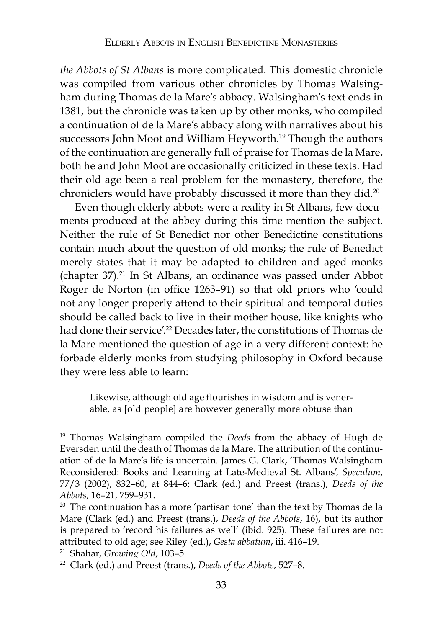*the Abbots of St Albans* is more complicated. This domestic chronicle was compiled from various other chronicles by Thomas Walsingham during Thomas de la Mare's abbacy. Walsingham's text ends in 1381, but the chronicle was taken up by other monks, who compiled a continuation of de la Mare's abbacy along with narratives about his successors John Moot and William Heyworth.<sup>19</sup> Though the authors of the continuation are generally full of praise for Thomas de la Mare, both he and John Moot are occasionally criticized in these texts. Had their old age been a real problem for the monastery, therefore, the chroniclers would have probably discussed it more than they did.20

Even though elderly abbots were a reality in St Albans, few documents produced at the abbey during this time mention the subject. Neither the rule of St Benedict nor other Benedictine constitutions contain much about the question of old monks; the rule of Benedict merely states that it may be adapted to children and aged monks (chapter 37).21 In St Albans, an ordinance was passed under Abbot Roger de Norton (in office 1263–91) so that old priors who 'could not any longer properly attend to their spiritual and temporal duties should be called back to live in their mother house, like knights who had done their service'.<sup>22</sup> Decades later, the constitutions of Thomas de la Mare mentioned the question of age in a very different context: he forbade elderly monks from studying philosophy in Oxford because they were less able to learn:

Likewise, although old age flourishes in wisdom and is venerable, as [old people] are however generally more obtuse than

<sup>21</sup> Shahar, *Growing Old*, 103–5.

<sup>19</sup> Thomas Walsingham compiled the *Deeds* from the abbacy of Hugh de Eversden until the death of Thomas de la Mare. The attribution of the continuation of de la Mare's life is uncertain. James G. Clark, 'Thomas Walsingham Reconsidered: Books and Learning at Late-Medieval St. Albans', *Speculum*, 77/3 (2002), 832–60, at 844–6; Clark (ed.) and Preest (trans.), *Deeds of the Abbots*, 16–21, 759–931.<br><sup>20</sup> The continuation has a more 'partisan tone' than the text by Thomas de la

Mare (Clark (ed.) and Preest (trans.), *Deeds of the Abbots*, 16), but its author is prepared to 'record his failures as well' (ibid. 925). These failures are not attributed to old age; see Riley (ed.), *Gesta abbatum*, iii. 416–19.

<sup>22</sup> Clark (ed.) and Preest (trans.), *Deeds of the Abbots*, 527–8.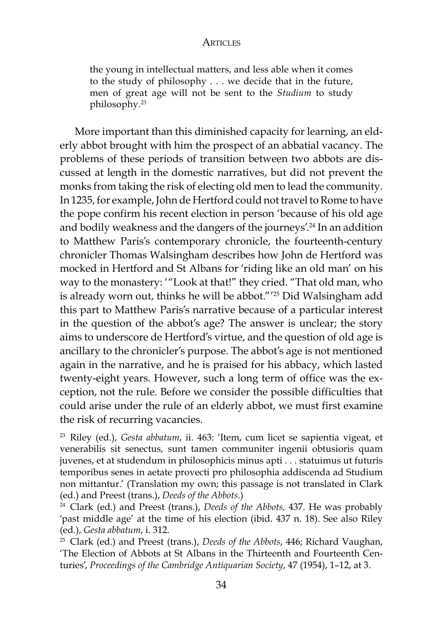the young in intellectual matters, and less able when it comes to the study of philosophy . . . we decide that in the future, men of great age will not be sent to the *Studium* to study philosophy.23

More important than this diminished capacity for learning, an elderly abbot brought with him the prospect of an abbatial vacancy. The problems of these periods of transition between two abbots are discussed at length in the domestic narratives, but did not prevent the monks from taking the risk of electing old men to lead the community. In 1235, for example, John de Hertford could not travel to Rome to have the pope confirm his recent election in person 'because of his old age and bodily weakness and the dangers of the journeys'.<sup>24</sup> In an addition to Matthew Paris's contemporary chronicle, the fourteenth-century chronicler Thomas Walsingham describes how John de Hertford was mocked in Hertford and St Albans for 'riding like an old man' on his way to the monastery: '"Look at that!" they cried. "That old man, who is already worn out, thinks he will be abbot."' 25 Did Walsingham add this part to Matthew Paris's narrative because of a particular interest in the question of the abbot's age? The answer is unclear; the story aims to underscore de Hertford's virtue, and the question of old age is ancillary to the chronicler's purpose. The abbot's age is not mentioned again in the narrative, and he is praised for his abbacy, which lasted twenty-eight years. However, such a long term of office was the exception, not the rule. Before we consider the possible difficulties that could arise under the rule of an elderly abbot, we must first examine the risk of recurring vacancies.

<sup>23</sup> Riley (ed.), *Gesta abbatum*, ii. 463: 'Item, cum licet se sapientia vigeat, et venerabilis sit senectus, sunt tamen communiter ingenii obtusioris quam juvenes, et at studendum in philosophicis minus apti . . . statuimus ut futuris temporibus senes in aetate provecti pro philosophia addiscenda ad Studium non mittantur.' (Translation my own; this passage is not translated in Clark (ed.) and Preest (trans.), *Deeds of the Abbots*.)

<sup>24</sup> Clark (ed.) and Preest (trans.), *Deeds of the Abbots,* 437. He was probably 'past middle age' at the time of his election (ibid. 437 n. 18). See also Riley (ed.), *Gesta abbatum*, i. 312.<br><sup>25</sup> Clark (ed.) and Preest (trans.), *Deeds of the Abbots*, 446; Richard Vaughan,

'The Election of Abbots at St Albans in the Thirteenth and Fourteenth Centuries', *Proceedings of the Cambridge Antiquarian Society*, 47 (1954), 1–12, at 3.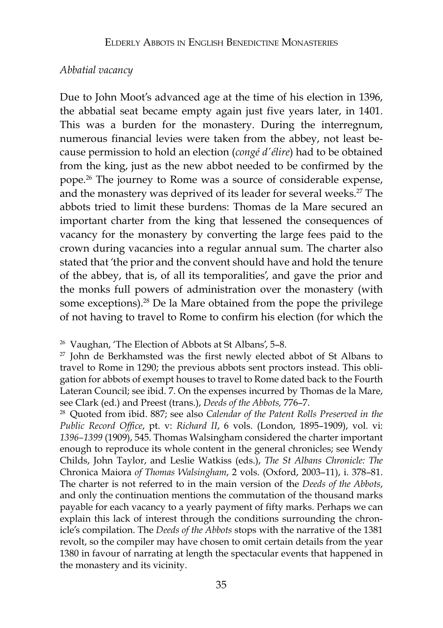## *Abbatial vacancy*

Due to John Moot's advanced age at the time of his election in 1396, the abbatial seat became empty again just five years later, in 1401. This was a burden for the monastery. During the interregnum, numerous financial levies were taken from the abbey, not least because permission to hold an election (*congé d'élire*) had to be obtained from the king, just as the new abbot needed to be confirmed by the pope.26 The journey to Rome was a source of considerable expense, and the monastery was deprived of its leader for several weeks.<sup>27</sup> The abbots tried to limit these burdens: Thomas de la Mare secured an important charter from the king that lessened the consequences of vacancy for the monastery by converting the large fees paid to the crown during vacancies into a regular annual sum. The charter also stated that 'the prior and the convent should have and hold the tenure of the abbey, that is, of all its temporalities', and gave the prior and the monks full powers of administration over the monastery (with some exceptions).<sup>28</sup> De la Mare obtained from the pope the privilege of not having to travel to Rome to confirm his election (for which the

*Public Record Office*, pt. v: *Richard II*, 6 vols. (London, 1895–1909), vol. vi: *1396–1399* (1909), 545. Thomas Walsingham considered the charter important enough to reproduce its whole content in the general chronicles; see Wendy Childs, John Taylor, and Leslie Watkiss (eds.), *The St Albans Chronicle: The*  Chronica Maiora *of Thomas Walsingham*, 2 vols. (Oxford, 2003–11), i. 378–81. The charter is not referred to in the main version of the *Deeds of the Abbots*, and only the continuation mentions the commutation of the thousand marks payable for each vacancy to a yearly payment of fifty marks. Perhaps we can explain this lack of interest through the conditions surrounding the chronicle's compilation. The *Deeds of the Abbots* stops with the narrative of the 1381 revolt, so the compiler may have chosen to omit certain details from the year 1380 in favour of narrating at length the spectacular events that happened in the monastery and its vicinity.

<sup>26</sup> Vaughan, 'The Election of Abbots at St Albans', 5–8.

 $27$  John de Berkhamsted was the first newly elected abbot of St Albans to travel to Rome in 1290; the previous abbots sent proctors instead. This obligation for abbots of exempt houses to travel to Rome dated back to the Fourth Lateran Council; see ibid. 7. On the expenses incurred by Thomas de la Mare, see Clark (ed.) and Preest (trans.), *Deeds of the Abbots,* 776–7. 28 Quoted from ibid. 887; see also *Calendar of the Patent Rolls Preserved in the*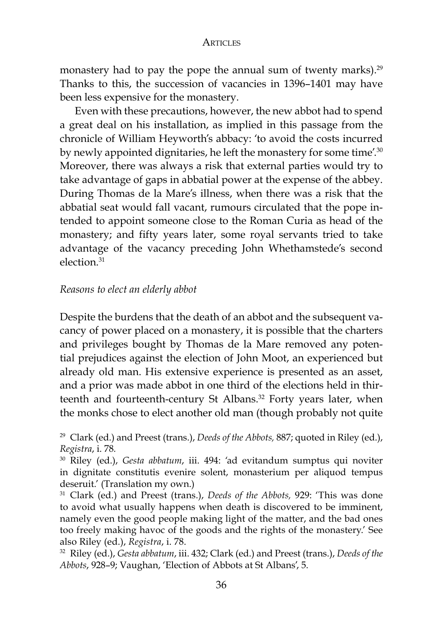monastery had to pay the pope the annual sum of twenty marks).<sup>29</sup> Thanks to this, the succession of vacancies in 1396–1401 may have been less expensive for the monastery.

Even with these precautions, however, the new abbot had to spend a great deal on his installation, as implied in this passage from the chronicle of William Heyworth's abbacy: 'to avoid the costs incurred by newly appointed dignitaries, he left the monastery for some time'.<sup>30</sup> Moreover, there was always a risk that external parties would try to take advantage of gaps in abbatial power at the expense of the abbey. During Thomas de la Mare's illness, when there was a risk that the abbatial seat would fall vacant, rumours circulated that the pope intended to appoint someone close to the Roman Curia as head of the monastery; and fifty years later, some royal servants tried to take advantage of the vacancy preceding John Whethamstede's second election.31

## *Reasons to elect an elderly abbot*

Despite the burdens that the death of an abbot and the subsequent vacancy of power placed on a monastery, it is possible that the charters and privileges bought by Thomas de la Mare removed any potential prejudices against the election of John Moot, an experienced but already old man. His extensive experience is presented as an asset, and a prior was made abbot in one third of the elections held in thirteenth and fourteenth-century St Albans.<sup>32</sup> Forty years later, when the monks chose to elect another old man (though probably not quite

<sup>29</sup> Clark (ed.) and Preest (trans.), *Deeds of the Abbots,* 887; quoted in Riley (ed.), *Registra*, i. 78*.* 

<sup>30</sup> Riley (ed.), *Gesta abbatum*, iii. 494: 'ad evitandum sumptus qui noviter in dignitate constitutis evenire solent, monasterium per aliquod tempus deseruit.' (Translation my own.)

<sup>31</sup> Clark (ed.) and Preest (trans.), *Deeds of the Abbots,* 929: 'This was done to avoid what usually happens when death is discovered to be imminent, namely even the good people making light of the matter, and the bad ones too freely making havoc of the goods and the rights of the monastery.' See also Riley (ed.), *Registra*, i. 78.<br><sup>32</sup> Riley (ed.), *Gesta abbatum*, iii. 432; Clark (ed.) and Preest (trans.), *Deeds of the* 

*Abbots*, 928–9; Vaughan, 'Election of Abbots at St Albans', 5.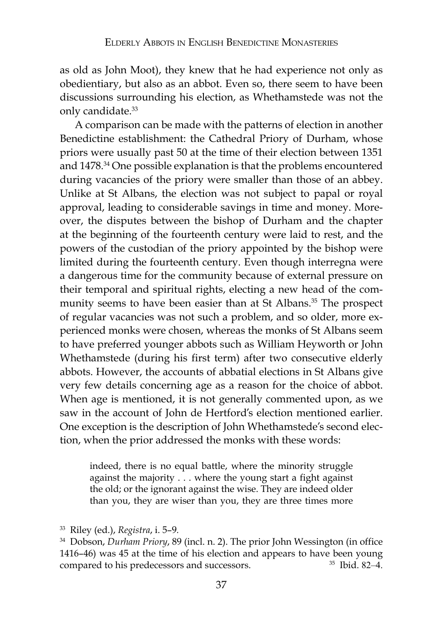as old as John Moot), they knew that he had experience not only as obedientiary, but also as an abbot. Even so, there seem to have been discussions surrounding his election, as Whethamstede was not the only candidate.<sup>33</sup>

A comparison can be made with the patterns of election in another Benedictine establishment: the Cathedral Priory of Durham, whose priors were usually past 50 at the time of their election between 1351 and 1478.<sup>34</sup> One possible explanation is that the problems encountered during vacancies of the priory were smaller than those of an abbey. Unlike at St Albans, the election was not subject to papal or royal approval, leading to considerable savings in time and money. Moreover, the disputes between the bishop of Durham and the chapter at the beginning of the fourteenth century were laid to rest, and the powers of the custodian of the priory appointed by the bishop were limited during the fourteenth century. Even though interregna were a dangerous time for the community because of external pressure on their temporal and spiritual rights, electing a new head of the community seems to have been easier than at St Albans.<sup>35</sup> The prospect of regular vacancies was not such a problem, and so older, more experienced monks were chosen, whereas the monks of St Albans seem to have preferred younger abbots such as William Heyworth or John Whethamstede (during his first term) after two consecutive elderly abbots. However, the accounts of abbatial elections in St Albans give very few details concerning age as a reason for the choice of abbot. When age is mentioned, it is not generally commented upon, as we saw in the account of John de Hertford's election mentioned earlier. One exception is the description of John Whethamstede's second election, when the prior addressed the monks with these words:

indeed, there is no equal battle, where the minority struggle against the majority . . . where the young start a fight against the old; or the ignorant against the wise. They are indeed older than you, they are wiser than you, they are three times more

<sup>33</sup> Riley (ed.), *Registra*, i. 5–9*.*

<sup>34</sup> Dobson, *Durham Priory*, 89 (incl. n. 2). The prior John Wessington (in office 1416–46) was 45 at the time of his election and appears to have been young compared to his predecessors and successors. <sup>35</sup> Ibid. 82–4.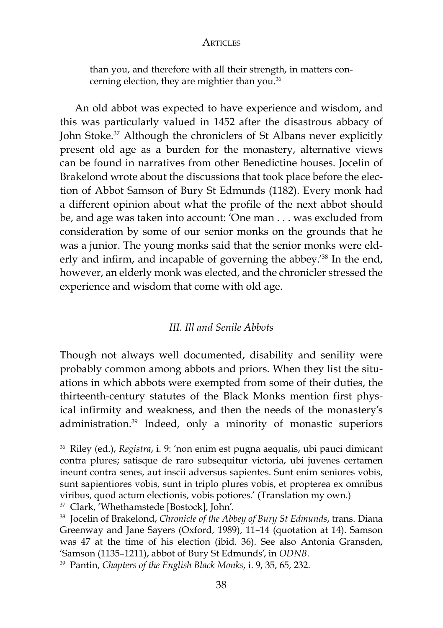than you, and therefore with all their strength, in matters concerning election, they are mightier than you.<sup>36</sup>

An old abbot was expected to have experience and wisdom, and this was particularly valued in 1452 after the disastrous abbacy of John Stoke.<sup>37</sup> Although the chroniclers of St Albans never explicitly present old age as a burden for the monastery, alternative views can be found in narratives from other Benedictine houses. Jocelin of Brakelond wrote about the discussions that took place before the election of Abbot Samson of Bury St Edmunds (1182). Every monk had a different opinion about what the profile of the next abbot should be, and age was taken into account: 'One man . . . was excluded from consideration by some of our senior monks on the grounds that he was a junior. The young monks said that the senior monks were elderly and infirm, and incapable of governing the abbey.<sup>'38</sup> In the end, however, an elderly monk was elected, and the chronicler stressed the experience and wisdom that come with old age.

## *III. Ill and Senile Abbots*

Though not always well documented, disability and senility were probably common among abbots and priors. When they list the situations in which abbots were exempted from some of their duties, the thirteenth-century statutes of the Black Monks mention first physical infirmity and weakness, and then the needs of the monastery's administration.39 Indeed, only a minority of monastic superiors

<sup>37</sup> Clark, 'Whethamstede [Bostock], John'.

<sup>36</sup> Riley (ed.), *Registra*, i. 9: 'non enim est pugna aequalis, ubi pauci dimicant contra plures; satisque de raro subsequitur victoria, ubi juvenes certamen ineunt contra senes, aut inscii adversus sapientes. Sunt enim seniores vobis, sunt sapientiores vobis, sunt in triplo plures vobis, et propterea ex omnibus viribus, quod actum electionis, vobis potiores.' (Translation my own.)

<sup>38</sup> Jocelin of Brakelond, *Chronicle of the Abbey of Bury St Edmunds*, trans. Diana Greenway and Jane Sayers (Oxford, 1989), 11–14 (quotation at 14). Samson was 47 at the time of his election (ibid. 36). See also Antonia Gransden, 'Samson (1135–1211), abbot of Bury St Edmunds', in *ODNB*. 39 Pantin, *Chapters of the English Black Monks,* i. 9, 35, 65, 232.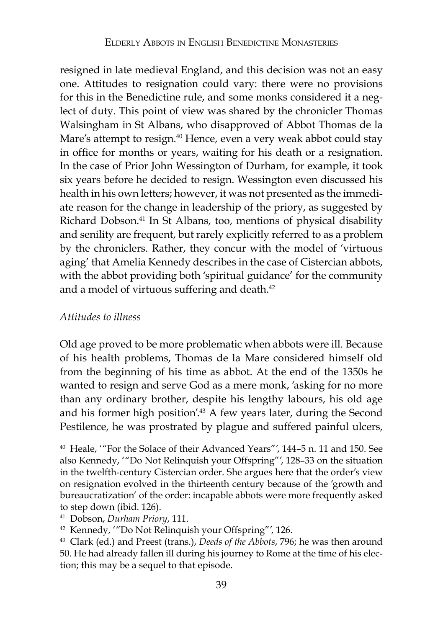resigned in late medieval England, and this decision was not an easy one. Attitudes to resignation could vary: there were no provisions for this in the Benedictine rule, and some monks considered it a neglect of duty. This point of view was shared by the chronicler Thomas Walsingham in St Albans, who disapproved of Abbot Thomas de la Mare's attempt to resign.<sup>40</sup> Hence, even a very weak abbot could stay in office for months or years, waiting for his death or a resignation. In the case of Prior John Wessington of Durham, for example, it took six years before he decided to resign. Wessington even discussed his health in his own letters; however, it was not presented as the immediate reason for the change in leadership of the priory, as suggested by Richard Dobson.41 In St Albans, too, mentions of physical disability and senility are frequent, but rarely explicitly referred to as a problem by the chroniclers. Rather, they concur with the model of 'virtuous aging' that Amelia Kennedy describes in the case of Cistercian abbots, with the abbot providing both 'spiritual guidance' for the community and a model of virtuous suffering and death.<sup>42</sup>

## *Attitudes to illness*

Old age proved to be more problematic when abbots were ill. Because of his health problems, Thomas de la Mare considered himself old from the beginning of his time as abbot. At the end of the 1350s he wanted to resign and serve God as a mere monk, 'asking for no more than any ordinary brother, despite his lengthy labours, his old age and his former high position'.43 A few years later, during the Second Pestilence, he was prostrated by plague and suffered painful ulcers,

<sup>40</sup> Heale, '"For the Solace of their Advanced Years"', 144–5 n. 11 and 150. See also Kennedy, '"Do Not Relinquish your Offspring"', 128–33 on the situation in the twelfth-century Cistercian order. She argues here that the order's view on resignation evolved in the thirteenth century because of the 'growth and bureaucratization' of the order: incapable abbots were more frequently asked to step down (ibid. 126).

<sup>41</sup> Dobson, *Durham Priory*, 111.<br><sup>42</sup> Kennedy, '"Do Not Relinquish your Offspring"', 126.

<sup>43</sup> Clark (ed.) and Preest (trans.), *Deeds of the Abbots*, 796; he was then around 50. He had already fallen ill during his journey to Rome at the time of his election; this may be a sequel to that episode.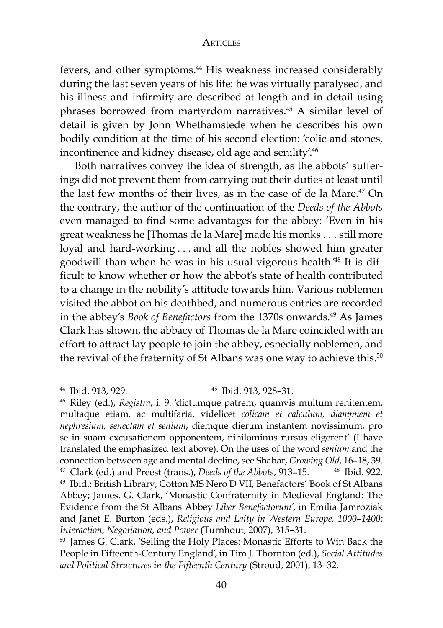fevers, and other symptoms.44 His weakness increased considerably during the last seven years of his life: he was virtually paralysed, and his illness and infirmity are described at length and in detail using phrases borrowed from martyrdom narratives.45 A similar level of detail is given by John Whethamstede when he describes his own bodily condition at the time of his second election: 'colic and stones, incontinence and kidney disease, old age and senility'.46

Both narratives convey the idea of strength, as the abbots' sufferings did not prevent them from carrying out their duties at least until the last few months of their lives, as in the case of de la Mare.47 On the contrary, the author of the continuation of the *Deeds of the Abbots* even managed to find some advantages for the abbey: 'Even in his great weakness he [Thomas de la Mare] made his monks . . . still more loyal and hard-working . . . and all the nobles showed him greater goodwill than when he was in his usual vigorous health.'48 It is difficult to know whether or how the abbot's state of health contributed to a change in the nobility's attitude towards him. Various noblemen visited the abbot on his deathbed, and numerous entries are recorded in the abbey's *Book of Benefactors* from the 1370s onwards.<sup>49</sup> As James Clark has shown, the abbacy of Thomas de la Mare coincided with an effort to attract lay people to join the abbey, especially noblemen, and the revival of the fraternity of St Albans was one way to achieve this.<sup>50</sup>

<sup>44</sup> Ibid. 913, 929*.* <sup>45</sup> Ibid. 913, 928–31. 46 Riley (ed.), *Registra*, i. 9: 'dictumque patrem, quamvis multum renitentem, multaque etiam, ac multifaria, videlicet *colicam et calculum, diampnem et nephresium, senectam et senium*, diemque dierum instantem novissimum, pro se in suam excusationem opponentem, nihilominus rursus eligerent' (I have translated the emphasized text above). On the uses of the word *senium* and the connection between age and mental decline, see Shahar, *Growing Old*, 16–18, 39. 47 Clark (ed.) and Preest (trans.), *Deeds of the Abbots*, 913–15*.*<sup>48</sup> Ibid. 922. <sup>49</sup> Ibid.; British Library, Cotton MS Nero D VII, Benefactors' Book of St Albans Abbey; James. G. Clark, 'Monastic Confraternity in Medieval England: The Evidence from the St Albans Abbey *Liber Benefactorum'*, in Emilia Jamroziak and Janet E. Burton (eds.), *Religious and Laity in Western Europe, 1000–1400: Interaction, Negotiation, and Power* (Turnhout, 2007), 315–31.<br><sup>50</sup> James G. Clark, 'Selling the Holy Places: Monastic Efforts to Win Back the

People in Fifteenth-Century England', in Tim J. Thornton (ed.), *Social Attitudes and Political Structures in the Fifteenth Century* (Stroud, 2001), 13–32.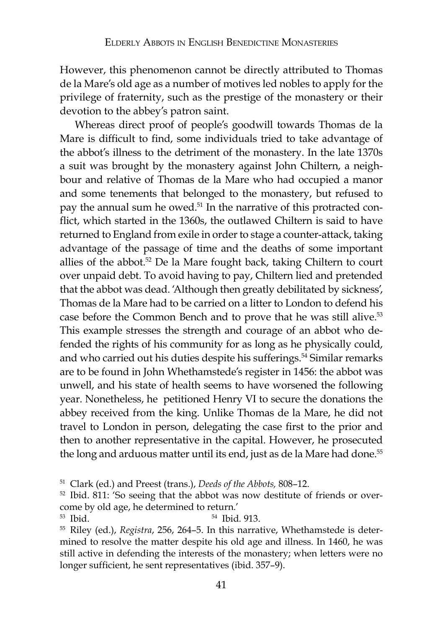However, this phenomenon cannot be directly attributed to Thomas de la Mare's old age as a number of motives led nobles to apply for the privilege of fraternity, such as the prestige of the monastery or their devotion to the abbey's patron saint.

Whereas direct proof of people's goodwill towards Thomas de la Mare is difficult to find, some individuals tried to take advantage of the abbot's illness to the detriment of the monastery. In the late 1370s a suit was brought by the monastery against John Chiltern, a neighbour and relative of Thomas de la Mare who had occupied a manor and some tenements that belonged to the monastery, but refused to pay the annual sum he owed.51 In the narrative of this protracted conflict, which started in the 1360s, the outlawed Chiltern is said to have returned to England from exile in order to stage a counter-attack, taking advantage of the passage of time and the deaths of some important allies of the abbot.52 De la Mare fought back, taking Chiltern to court over unpaid debt. To avoid having to pay, Chiltern lied and pretended that the abbot was dead. 'Although then greatly debilitated by sickness', Thomas de la Mare had to be carried on a litter to London to defend his case before the Common Bench and to prove that he was still alive.<sup>53</sup> This example stresses the strength and courage of an abbot who defended the rights of his community for as long as he physically could, and who carried out his duties despite his sufferings.<sup>54</sup> Similar remarks are to be found in John Whethamstede's register in 1456: the abbot was unwell, and his state of health seems to have worsened the following year. Nonetheless, he petitioned Henry VI to secure the donations the abbey received from the king. Unlike Thomas de la Mare, he did not travel to London in person, delegating the case first to the prior and then to another representative in the capital. However, he prosecuted the long and arduous matter until its end, just as de la Mare had done.<sup>55</sup>

<sup>&</sup>lt;sup>51</sup> Clark (ed.) and Preest (trans.), *Deeds of the Abbots*, 808–12.<br><sup>52</sup> Ibid. 811: 'So seeing that the abbot was now destitute of friends or overcome by old age, he determined to return.'

<sup>53</sup> Ibid. 54 Ibid*.* 913. 55 Riley (ed.), *Registra*, 256, 264–5. In this narrative, Whethamstede is determined to resolve the matter despite his old age and illness. In 1460, he was still active in defending the interests of the monastery; when letters were no longer sufficient, he sent representatives (ibid. 357–9).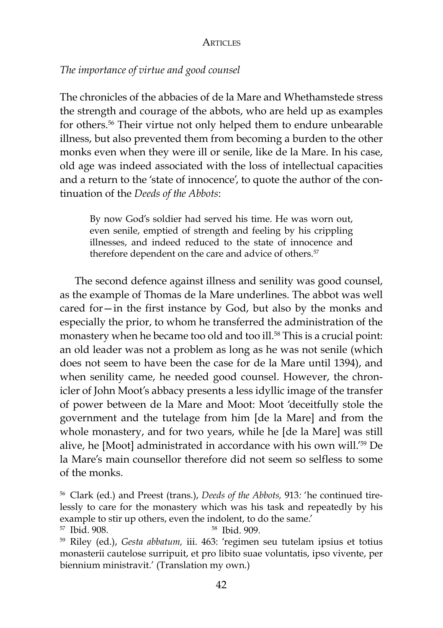# *The importance of virtue and good counsel*

The chronicles of the abbacies of de la Mare and Whethamstede stress the strength and courage of the abbots, who are held up as examples for others.56 Their virtue not only helped them to endure unbearable illness, but also prevented them from becoming a burden to the other monks even when they were ill or senile, like de la Mare. In his case, old age was indeed associated with the loss of intellectual capacities and a return to the 'state of innocence', to quote the author of the continuation of the *Deeds of the Abbots*:

By now God's soldier had served his time. He was worn out, even senile, emptied of strength and feeling by his crippling illnesses, and indeed reduced to the state of innocence and therefore dependent on the care and advice of others.<sup>57</sup>

The second defence against illness and senility was good counsel, as the example of Thomas de la Mare underlines. The abbot was well cared for—in the first instance by God, but also by the monks and especially the prior, to whom he transferred the administration of the monastery when he became too old and too ill.<sup>58</sup> This is a crucial point: an old leader was not a problem as long as he was not senile (which does not seem to have been the case for de la Mare until 1394), and when senility came, he needed good counsel. However, the chronicler of John Moot's abbacy presents a less idyllic image of the transfer of power between de la Mare and Moot: Moot 'deceitfully stole the government and the tutelage from him [de la Mare] and from the whole monastery, and for two years, while he [de la Mare] was still alive, he [Moot] administrated in accordance with his own will.'59 De la Mare's main counsellor therefore did not seem so selfless to some of the monks.

<sup>56</sup> Clark (ed.) and Preest (trans.), *Deeds of the Abbots,* 913*:* 'he continued tirelessly to care for the monastery which was his task and repeatedly by his example to stir up others, even the indolent, to do the same.'<br>
<sup>57</sup> Ibid. 908.

<sup>59</sup> Riley (ed.), *Gesta abbatum,* iii. 463: 'regimen seu tutelam ipsius et totius monasterii cautelose surripuit, et pro libito suae voluntatis, ipso vivente, per biennium ministravit.' (Translation my own.)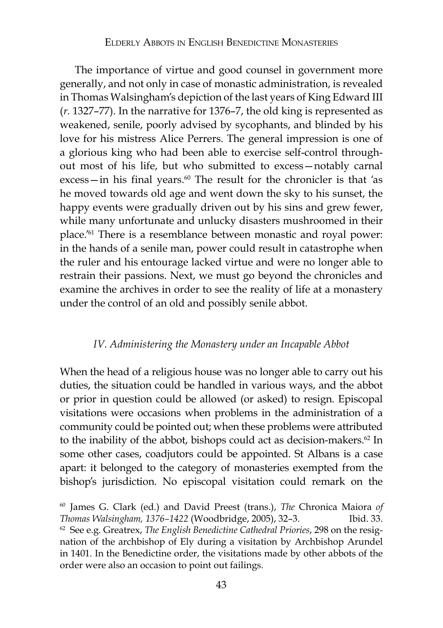The importance of virtue and good counsel in government more generally, and not only in case of monastic administration, is revealed in Thomas Walsingham's depiction of the last years of King Edward III (*r.* 1327–77). In the narrative for 1376–7, the old king is represented as weakened, senile, poorly advised by sycophants, and blinded by his love for his mistress Alice Perrers. The general impression is one of a glorious king who had been able to exercise self-control throughout most of his life, but who submitted to excess—notably carnal excess-in his final years.<sup>60</sup> The result for the chronicler is that 'as he moved towards old age and went down the sky to his sunset, the happy events were gradually driven out by his sins and grew fewer, while many unfortunate and unlucky disasters mushroomed in their place.'61 There is a resemblance between monastic and royal power: in the hands of a senile man, power could result in catastrophe when the ruler and his entourage lacked virtue and were no longer able to restrain their passions. Next, we must go beyond the chronicles and examine the archives in order to see the reality of life at a monastery under the control of an old and possibly senile abbot.

# *IV. Administering the Monastery under an Incapable Abbot*

When the head of a religious house was no longer able to carry out his duties, the situation could be handled in various ways, and the abbot or prior in question could be allowed (or asked) to resign. Episcopal visitations were occasions when problems in the administration of a community could be pointed out; when these problems were attributed to the inability of the abbot, bishops could act as decision-makers.<sup>62</sup> In some other cases, coadjutors could be appointed. St Albans is a case apart: it belonged to the category of monasteries exempted from the bishop's jurisdiction. No episcopal visitation could remark on the

<sup>60</sup> James G. Clark (ed.) and David Preest (trans.), *The* Chronica Maiora *of Thomas Walsingham, 1376–1422* (Woodbridge, 2005), 32–3. Ibid. 33. <sup>62</sup> See e.g. Greatrex, *The English Benedictine Cathedral Priories*, 298 on the resignation of the archbishop of Ely during a visitation by Archbishop Arundel in 1401. In the Benedictine order, the visitations made by other abbots of the order were also an occasion to point out failings.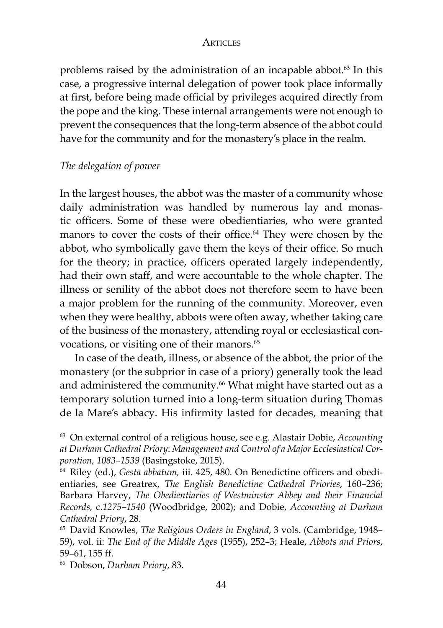problems raised by the administration of an incapable abbot.<sup>63</sup> In this case, a progressive internal delegation of power took place informally at first, before being made official by privileges acquired directly from the pope and the king. These internal arrangements were not enough to prevent the consequences that the long-term absence of the abbot could have for the community and for the monastery's place in the realm.

# *The delegation of power*

In the largest houses, the abbot was the master of a community whose daily administration was handled by numerous lay and monastic officers. Some of these were obedientiaries, who were granted manors to cover the costs of their office.<sup>64</sup> They were chosen by the abbot, who symbolically gave them the keys of their office. So much for the theory; in practice, officers operated largely independently, had their own staff, and were accountable to the whole chapter. The illness or senility of the abbot does not therefore seem to have been a major problem for the running of the community. Moreover, even when they were healthy, abbots were often away, whether taking care of the business of the monastery, attending royal or ecclesiastical convocations, or visiting one of their manors.<sup>65</sup>

In case of the death, illness, or absence of the abbot, the prior of the monastery (or the subprior in case of a priory) generally took the lead and administered the community.<sup>66</sup> What might have started out as a temporary solution turned into a long-term situation during Thomas de la Mare's abbacy. His infirmity lasted for decades, meaning that

<sup>66</sup> Dobson, *Durham Priory*, 83.

<sup>63</sup> On external control of a religious house, see e.g. Alastair Dobie, *Accounting at Durham Cathedral Priory*: *Management and Control of a Major Ecclesiastical Corporation, 1083-1539 (Basingstoke, 2015).*<br><sup>64</sup> Riley (ed.), *Gesta abbatum, iii. 425, 480. On Benedictine officers and obedi-*

entiaries, see Greatrex, *The English Benedictine Cathedral Priories*, 160–236; Barbara Harvey, *The Obedientiaries of Westminster Abbey and their Financial Records,* c.*1275–1540* (Woodbridge, 2002); and Dobie, *Accounting at Durham Cathedral Priory*, 28. 65 David Knowles, *The Religious Orders in England*, 3 vols. (Cambridge, 1948–

<sup>59),</sup> vol. ii: *The End of the Middle Ages* (1955), 252–3; Heale, *Abbots and Priors*, 59–61, 155 ff.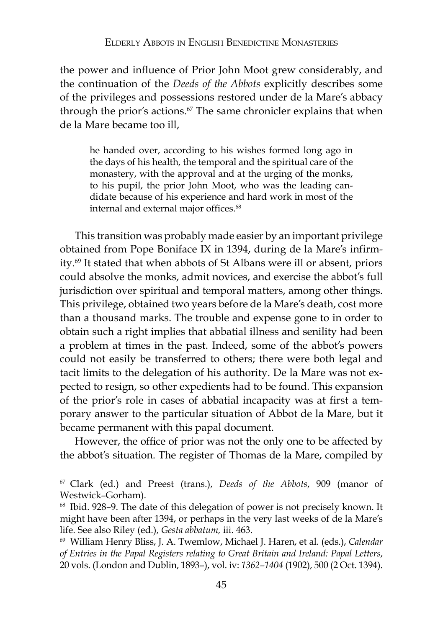the power and influence of Prior John Moot grew considerably, and the continuation of the *Deeds of the Abbots* explicitly describes some of the privileges and possessions restored under de la Mare's abbacy through the prior's actions.<sup>67</sup> The same chronicler explains that when de la Mare became too ill,

he handed over, according to his wishes formed long ago in the days of his health, the temporal and the spiritual care of the monastery, with the approval and at the urging of the monks, to his pupil, the prior John Moot, who was the leading candidate because of his experience and hard work in most of the internal and external major offices.<sup>68</sup>

This transition was probably made easier by an important privilege obtained from Pope Boniface IX in 1394, during de la Mare's infirmity.69 It stated that when abbots of St Albans were ill or absent, priors could absolve the monks, admit novices, and exercise the abbot's full jurisdiction over spiritual and temporal matters, among other things. This privilege, obtained two years before de la Mare's death, cost more than a thousand marks. The trouble and expense gone to in order to obtain such a right implies that abbatial illness and senility had been a problem at times in the past. Indeed, some of the abbot's powers could not easily be transferred to others; there were both legal and tacit limits to the delegation of his authority. De la Mare was not expected to resign, so other expedients had to be found. This expansion of the prior's role in cases of abbatial incapacity was at first a temporary answer to the particular situation of Abbot de la Mare, but it became permanent with this papal document.

However, the office of prior was not the only one to be affected by the abbot's situation. The register of Thomas de la Mare, compiled by

<sup>67</sup> Clark (ed.) and Preest (trans.), *Deeds of the Abbots*, 909 (manor of Westwick–Gorham).

<sup>68</sup> Ibid. 928–9. The date of this delegation of power is not precisely known. It might have been after 1394, or perhaps in the very last weeks of de la Mare's life. See also Riley (ed.), *Gesta abbatum*, *iii.* 463.<br><sup>69</sup> William Henry Bliss, J. A. Twemlow, Michael J. Haren, et al. (eds.), *Calendar* 

*of Entries in the Papal Registers relating to Great Britain and Ireland: Papal Letters*, 20 vols. (London and Dublin, 1893–), vol. iv: *1362–1404* (1902), 500 (2 Oct. 1394).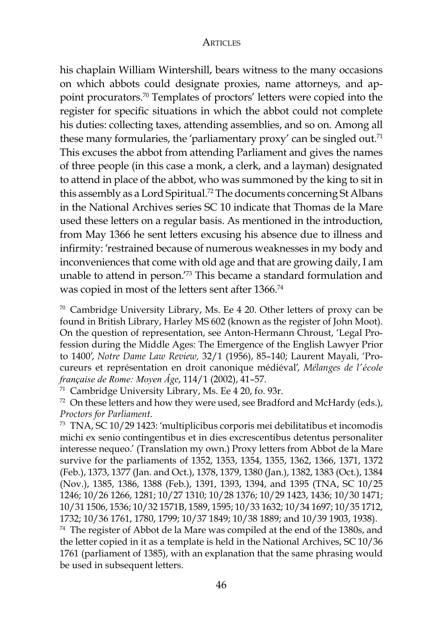his chaplain William Wintershill, bears witness to the many occasions on which abbots could designate proxies, name attorneys, and appoint procurators.70 Templates of proctors' letters were copied into the register for specific situations in which the abbot could not complete his duties: collecting taxes, attending assemblies, and so on. Among all these many formularies, the 'parliamentary proxy' can be singled out.<sup>71</sup> This excuses the abbot from attending Parliament and gives the names of three people (in this case a monk, a clerk, and a layman) designated to attend in place of the abbot, who was summoned by the king to sit in this assembly as a Lord Spiritual.72 The documents concerning St Albans in the National Archives series SC 10 indicate that Thomas de la Mare used these letters on a regular basis. As mentioned in the introduction, from May 1366 he sent letters excusing his absence due to illness and infirmity: 'restrained because of numerous weaknesses in my body and inconveniences that come with old age and that are growing daily, I am unable to attend in person.'73 This became a standard formulation and was copied in most of the letters sent after 1366.74

<sup>70</sup> Cambridge University Library, Ms. Ee 4 20. Other letters of proxy can be found in British Library, Harley MS 602 (known as the register of John Moot). On the question of representation, see Anton-Hermann Chroust, 'Legal Profession during the Middle Ages: The Emergence of the English Lawyer Prior to 1400', *Notre Dame Law Review,* 32/1 (1956), 85–140; Laurent Mayali, 'Procureurs et représentation en droit canonique médiéval', *Mélanges de l'école française de Rome: Moyen Âge*, 114/1 (2002), 41–57.<br><sup>71</sup> Cambridge University Library, Ms. Ee 4 20, fo. 93r.<br><sup>72</sup> On these letters and how they were used, see Bradford and McHardy (eds.),

*Proctors for Parliament*.

<sup>73</sup> TNA, SC 10/29 1423: 'multiplicibus corporis mei debilitatibus et incomodis michi ex senio contingentibus et in dies excrescentibus detentus personaliter interesse nequeo.' (Translation my own.) Proxy letters from Abbot de la Mare survive for the parliaments of 1352, 1353, 1354, 1355, 1362, 1366, 1371, 1372 (Feb.), 1373, 1377 (Jan. and Oct.), 1378, 1379, 1380 (Jan.), 1382, 1383 (Oct.), 1384 (Nov.), 1385, 1386, 1388 (Feb.), 1391, 1393, 1394, and 1395 (TNA, SC 10/25 1246; 10/26 1266, 1281; 10/27 1310; 10/28 1376; 10/29 1423, 1436; 10/30 1471; 10/31 1506, 1536; 10/32 1571B, 1589, 1595; 10/33 1632; 10/34 1697; 10/35 1712, 1732; 10/36 1761, 1780, 1799; 10/37 1849; 10/38 1889; and 10/39 1903, 1938).

<sup>74</sup> The register of Abbot de la Mare was compiled at the end of the 1380s, and the letter copied in it as a template is held in the National Archives, SC 10/36 1761 (parliament of 1385), with an explanation that the same phrasing would be used in subsequent letters.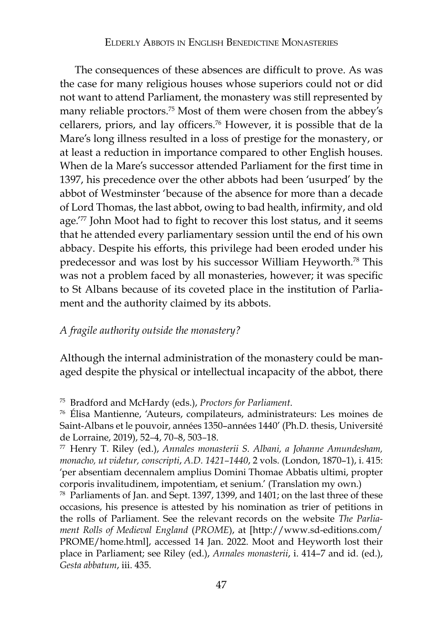The consequences of these absences are difficult to prove. As was the case for many religious houses whose superiors could not or did not want to attend Parliament, the monastery was still represented by many reliable proctors.75 Most of them were chosen from the abbey's cellarers, priors, and lay officers.76 However, it is possible that de la Mare's long illness resulted in a loss of prestige for the monastery, or at least a reduction in importance compared to other English houses. When de la Mare's successor attended Parliament for the first time in 1397, his precedence over the other abbots had been 'usurped' by the abbot of Westminster 'because of the absence for more than a decade of Lord Thomas, the last abbot, owing to bad health, infirmity, and old age.<sup>'77</sup> John Moot had to fight to recover this lost status, and it seems that he attended every parliamentary session until the end of his own abbacy. Despite his efforts, this privilege had been eroded under his predecessor and was lost by his successor William Heyworth.78 This was not a problem faced by all monasteries, however; it was specific to St Albans because of its coveted place in the institution of Parliament and the authority claimed by its abbots.

## *A fragile authority outside the monastery?*

Although the internal administration of the monastery could be managed despite the physical or intellectual incapacity of the abbot, there

<sup>78</sup> Parliaments of Jan. and Sept. 1397, 1399, and 1401; on the last three of these occasions, his presence is attested by his nomination as trier of petitions in the rolls of Parliament. See the relevant records on the website *The Parliament Rolls of Medieval England* (*PROME*), at [http://www.sd-editions.com/ PROME/home.html], accessed 14 Jan. 2022. Moot and Heyworth lost their place in Parliament; see Riley (ed.), *Annales monasterii*, i. 414–7 and id. (ed.), *Gesta abbatum*, iii. 435.

<sup>75</sup> Bradford and McHardy (eds.), *Proctors for Parliament*. 76 Élisa Mantienne, 'Auteurs, compilateurs, administrateurs: Les moines de Saint-Albans et le pouvoir, années 1350–années 1440' (Ph.D. thesis, Université de Lorraine, 2019), 52*–*4, 70*–*8, 503*–*18.

<sup>77</sup> Henry T. Riley (ed.), *Annales monasterii S. Albani, a Johanne Amundesham, monacho, ut videtur, conscripti*, *A.D. 1421–1440*, 2 vols. (London, 1870–1), i. 415: 'per absentiam decennalem amplius Domini Thomae Abbatis ultimi, propter corporis invalitudinem, impotentiam, et senium.' (Translation my own.)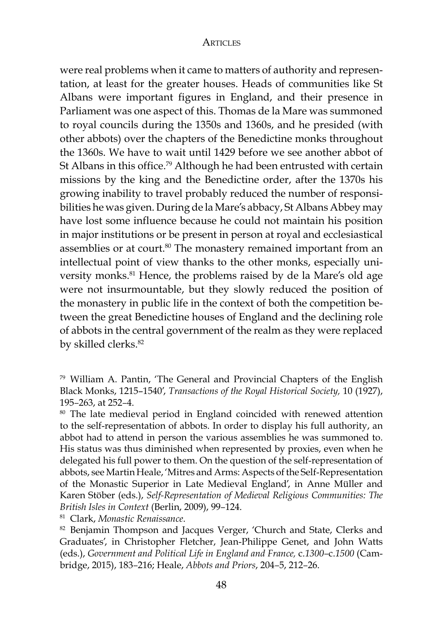were real problems when it came to matters of authority and representation, at least for the greater houses. Heads of communities like St Albans were important figures in England, and their presence in Parliament was one aspect of this. Thomas de la Mare was summoned to royal councils during the 1350s and 1360s, and he presided (with other abbots) over the chapters of the Benedictine monks throughout the 1360s. We have to wait until 1429 before we see another abbot of St Albans in this office.79 Although he had been entrusted with certain missions by the king and the Benedictine order, after the 1370s his growing inability to travel probably reduced the number of responsibilities he was given. During de la Mare's abbacy, St Albans Abbey may have lost some influence because he could not maintain his position in major institutions or be present in person at royal and ecclesiastical assemblies or at court.<sup>80</sup> The monastery remained important from an intellectual point of view thanks to the other monks, especially university monks.<sup>81</sup> Hence, the problems raised by de la Mare's old age were not insurmountable, but they slowly reduced the position of the monastery in public life in the context of both the competition between the great Benedictine houses of England and the declining role of abbots in the central government of the realm as they were replaced by skilled clerks.<sup>82</sup>

<sup>79</sup> William A. Pantin, 'The General and Provincial Chapters of the English Black Monks, 1215–1540', *Transactions of the Royal Historical Society,* 10 (1927), 195–263, at 252–4.<br><sup>80</sup> The late medieval period in England coincided with renewed attention

to the self-representation of abbots. In order to display his full authority, an abbot had to attend in person the various assemblies he was summoned to. His status was thus diminished when represented by proxies, even when he delegated his full power to them. On the question of the self-representation of abbots, see Martin Heale, 'Mitres and Arms: Aspects of the Self-Representation of the Monastic Superior in Late Medieval England', in Anne Müller and Karen Stöber (eds.), *Self-Representation of Medieval Religious Communities: The* 

*British Isles in Context (Berlin, 2009), 99–124.*<br><sup>81</sup> Clark, *Monastic Renaissance.*<br><sup>82</sup> Benjamin Thompson and Jacques Verger, 'Church and State, Clerks and Graduates', in Christopher Fletcher, Jean-Philippe Genet, and John Watts (eds.), *Government and Political Life in England and France,* c.*1300–*c.*1500* (Cambridge, 2015), 183*–*216; Heale, *Abbots and Priors*, 204*–*5, 212*–*26.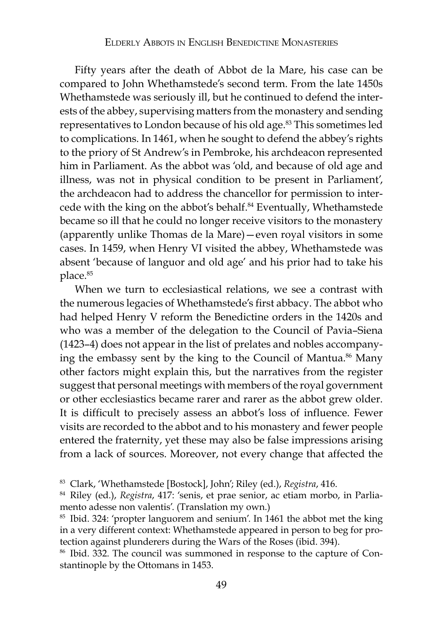Fifty years after the death of Abbot de la Mare, his case can be compared to John Whethamstede's second term. From the late 1450s Whethamstede was seriously ill, but he continued to defend the interests of the abbey, supervising matters from the monastery and sending representatives to London because of his old age.83 This sometimes led to complications. In 1461, when he sought to defend the abbey's rights to the priory of St Andrew's in Pembroke, his archdeacon represented him in Parliament. As the abbot was 'old, and because of old age and illness, was not in physical condition to be present in Parliament', the archdeacon had to address the chancellor for permission to intercede with the king on the abbot's behalf.<sup>84</sup> Eventually, Whethamstede became so ill that he could no longer receive visitors to the monastery (apparently unlike Thomas de la Mare)—even royal visitors in some cases. In 1459, when Henry VI visited the abbey, Whethamstede was absent 'because of languor and old age' and his prior had to take his place.<sup>85</sup>

When we turn to ecclesiastical relations, we see a contrast with the numerous legacies of Whethamstede's first abbacy. The abbot who had helped Henry V reform the Benedictine orders in the 1420s and who was a member of the delegation to the Council of Pavia–Siena (1423–4) does not appear in the list of prelates and nobles accompanying the embassy sent by the king to the Council of Mantua.<sup>86</sup> Many other factors might explain this, but the narratives from the register suggest that personal meetings with members of the royal government or other ecclesiastics became rarer and rarer as the abbot grew older. It is difficult to precisely assess an abbot's loss of influence. Fewer visits are recorded to the abbot and to his monastery and fewer people entered the fraternity, yet these may also be false impressions arising from a lack of sources. Moreover, not every change that affected the

<sup>85</sup> Ibid. 324: 'propter languorem and senium'. In 1461 the abbot met the king in a very different context: Whethamstede appeared in person to beg for protection against plunderers during the Wars of the Roses (ibid. 394).

<sup>86</sup> Ibid. 332. The council was summoned in response to the capture of Constantinople by the Ottomans in 1453.

<sup>83</sup> Clark, 'Whethamstede [Bostock], John'; Riley (ed.), *Registra*, 416. 84 Riley (ed.), *Registra*, 417: 'senis, et prae senior, ac etiam morbo, in Parliamento adesse non valentis'. (Translation my own.)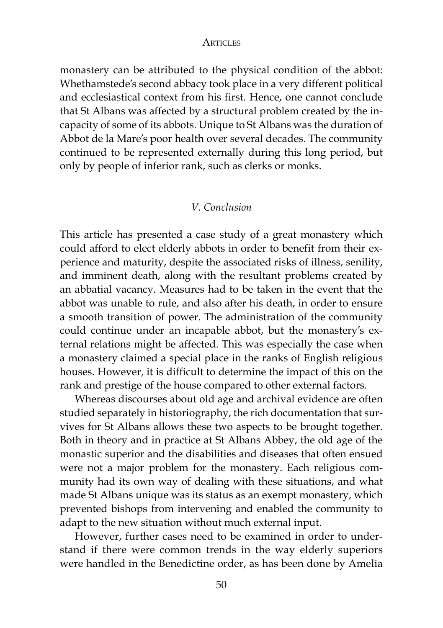monastery can be attributed to the physical condition of the abbot: Whethamstede's second abbacy took place in a very different political and ecclesiastical context from his first. Hence, one cannot conclude that St Albans was affected by a structural problem created by the incapacity of some of its abbots. Unique to St Albans was the duration of Abbot de la Mare's poor health over several decades. The community continued to be represented externally during this long period, but only by people of inferior rank, such as clerks or monks.

## *V. Conclusion*

This article has presented a case study of a great monastery which could afford to elect elderly abbots in order to benefit from their experience and maturity, despite the associated risks of illness, senility, and imminent death, along with the resultant problems created by an abbatial vacancy. Measures had to be taken in the event that the abbot was unable to rule, and also after his death, in order to ensure a smooth transition of power. The administration of the community could continue under an incapable abbot, but the monastery's external relations might be affected. This was especially the case when a monastery claimed a special place in the ranks of English religious houses. However, it is difficult to determine the impact of this on the rank and prestige of the house compared to other external factors.

Whereas discourses about old age and archival evidence are often studied separately in historiography, the rich documentation that survives for St Albans allows these two aspects to be brought together. Both in theory and in practice at St Albans Abbey, the old age of the monastic superior and the disabilities and diseases that often ensued were not a major problem for the monastery. Each religious community had its own way of dealing with these situations, and what made St Albans unique was its status as an exempt monastery, which prevented bishops from intervening and enabled the community to adapt to the new situation without much external input.

However, further cases need to be examined in order to understand if there were common trends in the way elderly superiors were handled in the Benedictine order, as has been done by Amelia